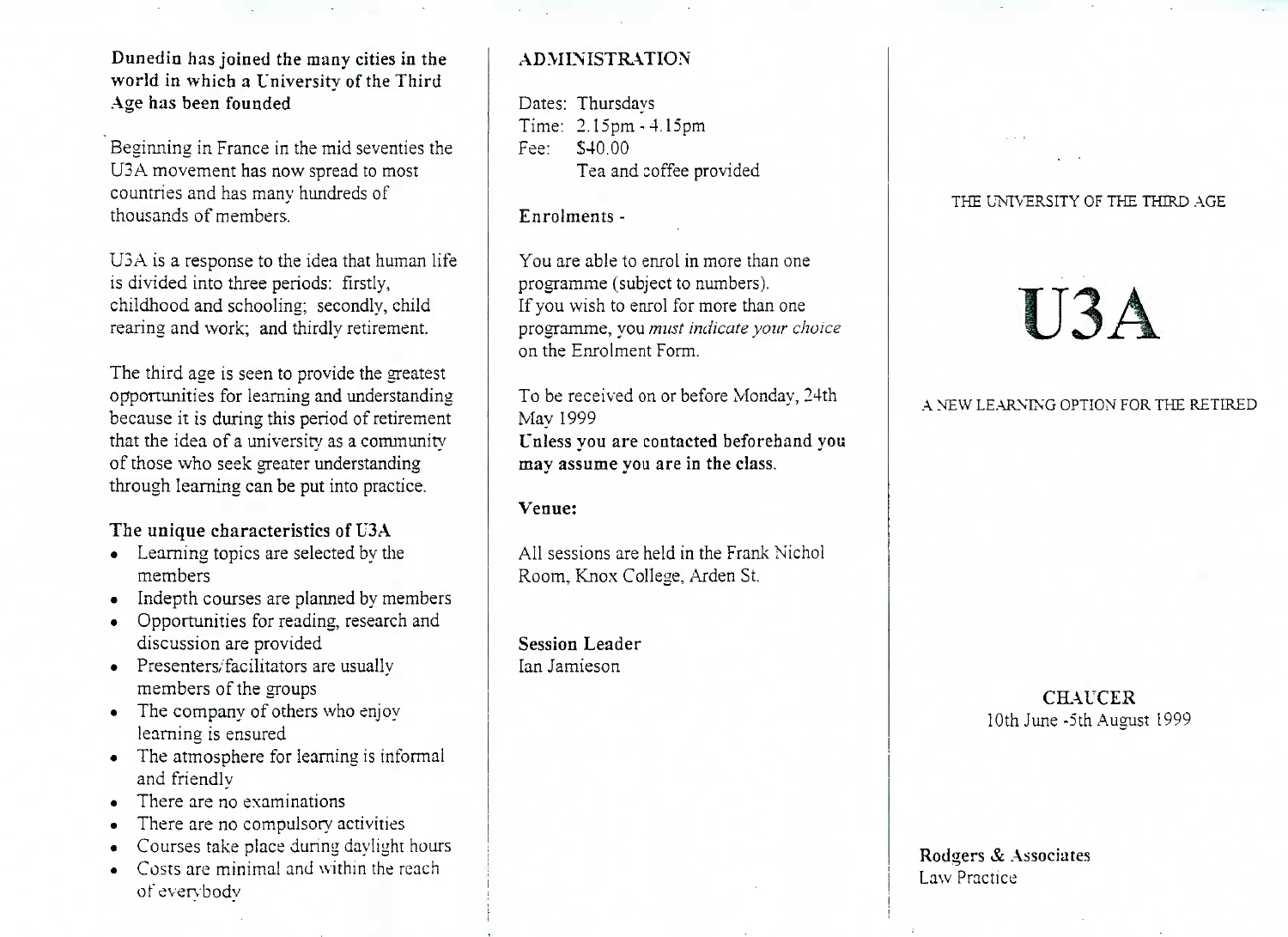Dunedin has joined the many cities in the world in which a University of the ThirdAge has been founded

Beginning in France in the mid seventies theU3A movement has now spread to mostcountries and has many hundreds ofthousands of members.

U3A is a response to the idea that human lifeis divided into three periods: firstly, childhood and schooling; secondly, childrearing and work; and thirdly retirement.

The third age is seen to provide the greatest opportunities for learning and understanding because it is during this period of retirement that the idea of a university as a communityof those who seek greater understandingthrough learning can be put into practice.

# The unique characteristics of USA

- Learning topics are selected by themembers
- Indepth courses are planned by members
- Opportunities for reading, research anddiscussion are provided
- Presenters/facilitators are usually members of the groups
- The company of others who enjoylearning is ensured
- The atmosphere for learning is informaland friendly
- There are no examinations
- There are no compulsory activities
- Courses take place during daylight hours
- Costs are minimal and within the reach**of evervbodv**

# ADMINISTRATION

Dates: Thursdays Time: 2.15pm -4.15pmFee: S40.00Tea and coffee provided

# Enrolments -

You are able to enrol in more than oneprogramme (subject to numbers). If you wish to enrol for more than one programme, you *must indicate your choice*on the Enrolment Form.

To be received on or before Monday, 24thMay 1999 Unless you are contacted beforehand youmay assume you are in the class.

# Venue:

All sessions are held in the Frank NicholRoom. Knox College, Arden St.

Session LeaderIan Jamieson

#### THE UNIVERSITY OF THE THIRD AGE

# U3A

#### A NEW LEARNING OPTION FOR THE RETIRED

# **CHAUCER**10th June-5th August 1999

#### Rodgers & Associates Law Practice